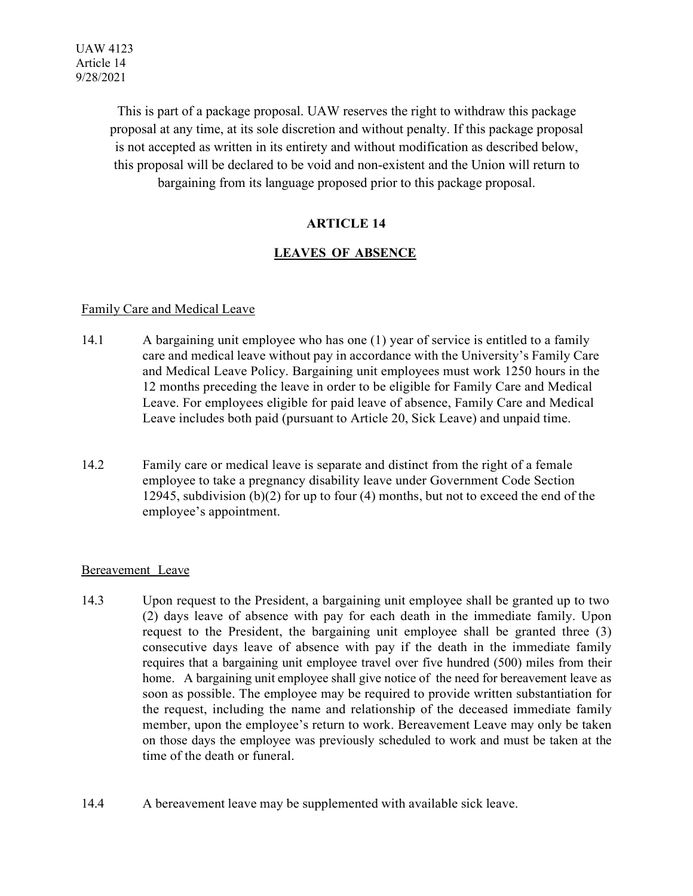This is part of a package proposal. UAW reserves the right to withdraw this package proposal at any time, at its sole discretion and without penalty. If this package proposal is not accepted as written in its entirety and without modification as described below, this proposal will be declared to be void and non-existent and the Union will return to bargaining from its language proposed prior to this package proposal.

# **ARTICLE 14**

# **LEAVES OF ABSENCE**

# Family Care and Medical Leave

- 14.1 A bargaining unit employee who has one (1) year of service is entitled to a family care and medical leave without pay in accordance with the University's Family Care and Medical Leave Policy. Bargaining unit employees must work 1250 hours in the 12 months preceding the leave in order to be eligible for Family Care and Medical Leave. For employees eligible for paid leave of absence, Family Care and Medical Leave includes both paid (pursuant to Article 20, Sick Leave) and unpaid time.
- 14.2 Family care or medical leave is separate and distinct from the right of a female employee to take a pregnancy disability leave under Government Code Section 12945, subdivision (b)(2) for up to four (4) months, but not to exceed the end of the employee's appointment.

## Bereavement Leave

- 14.3 Upon request to the President, a bargaining unit employee shall be granted up to two (2) days leave of absence with pay for each death in the immediate family. Upon request to the President, the bargaining unit employee shall be granted three (3) consecutive days leave of absence with pay if the death in the immediate family requires that a bargaining unit employee travel over five hundred (500) miles from their home. A bargaining unit employee shall give notice of the need for bereavement leave as soon as possible. The employee may be required to provide written substantiation for the request, including the name and relationship of the deceased immediate family member, upon the employee's return to work. Bereavement Leave may only be taken on those days the employee was previously scheduled to work and must be taken at the time of the death or funeral.
- 14.4 A bereavement leave may be supplemented with available sick leave.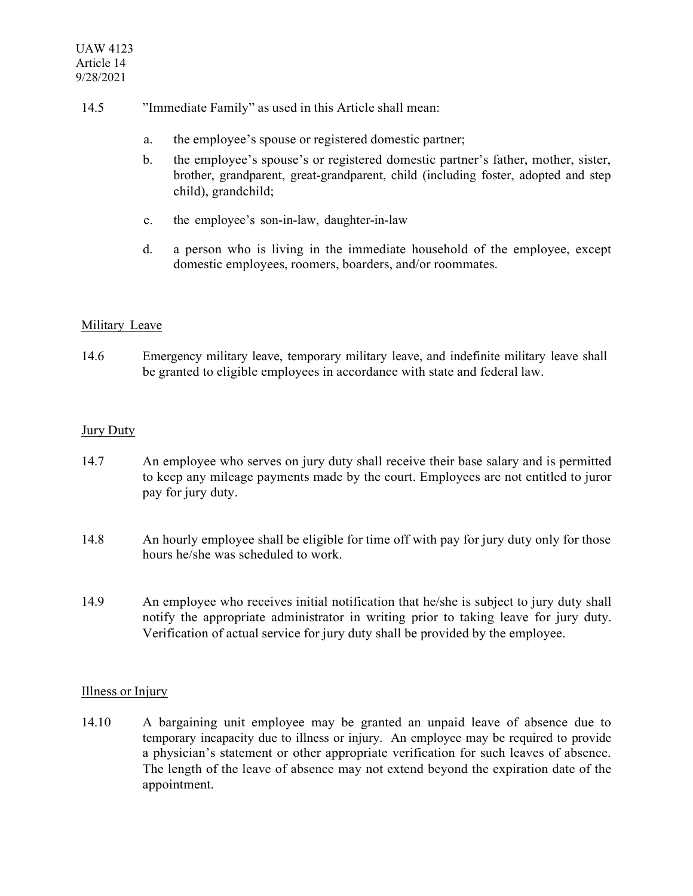- 14.5 "Immediate Family" as used in this Article shall mean:
	- a. the employee's spouse or registered domestic partner;
	- b. the employee's spouse's or registered domestic partner's father, mother, sister, brother, grandparent, great-grandparent, child (including foster, adopted and step child), grandchild;
	- c. the employee's son-in-law, daughter-in-law
	- d. a person who is living in the immediate household of the employee, except domestic employees, roomers, boarders, and/or roommates.

# Military Leave

14.6 Emergency military leave, temporary military leave, and indefinite military leave shall be granted to eligible employees in accordance with state and federal law.

## Jury Duty

- 14.7 An employee who serves on jury duty shall receive their base salary and is permitted to keep any mileage payments made by the court. Employees are not entitled to juror pay for jury duty.
- 14.8 An hourly employee shall be eligible for time off with pay for jury duty only for those hours he/she was scheduled to work.
- 14.9 An employee who receives initial notification that he/she is subject to jury duty shall notify the appropriate administrator in writing prior to taking leave for jury duty. Verification of actual service for jury duty shall be provided by the employee.

## Illness or Injury

14.10 A bargaining unit employee may be granted an unpaid leave of absence due to temporary incapacity due to illness or injury. An employee may be required to provide a physician's statement or other appropriate verification for such leaves of absence. The length of the leave of absence may not extend beyond the expiration date of the appointment.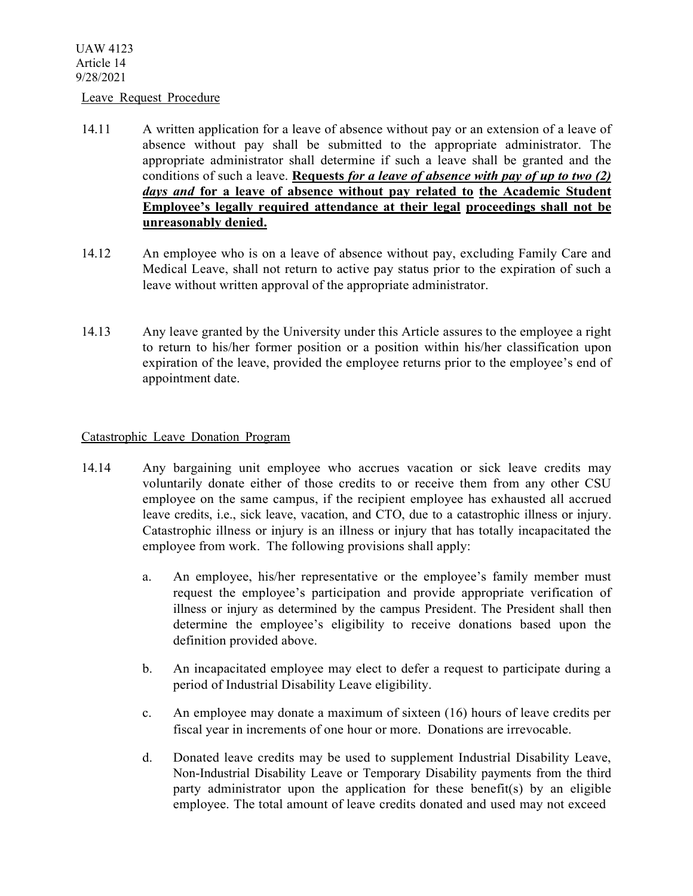#### Leave Request Procedure

- 14.11 A written application for a leave of absence without pay or an extension of a leave of absence without pay shall be submitted to the appropriate administrator. The appropriate administrator shall determine if such a leave shall be granted and the conditions of such a leave. **Requests** *for a leave of absence with pay of up to two (2) days and* **for a leave of absence without pay related to the Academic Student Employee's legally required attendance at their legal proceedings shall not be unreasonably denied.**
- 14.12 An employee who is on a leave of absence without pay, excluding Family Care and Medical Leave, shall not return to active pay status prior to the expiration of such a leave without written approval of the appropriate administrator.
- 14.13 Any leave granted by the University under this Article assures to the employee a right to return to his/her former position or a position within his/her classification upon expiration of the leave, provided the employee returns prior to the employee's end of appointment date.

#### Catastrophic Leave Donation Program

- 14.14 Any bargaining unit employee who accrues vacation or sick leave credits may voluntarily donate either of those credits to or receive them from any other CSU employee on the same campus, if the recipient employee has exhausted all accrued leave credits, i.e., sick leave, vacation, and CTO, due to a catastrophic illness or injury. Catastrophic illness or injury is an illness or injury that has totally incapacitated the employee from work. The following provisions shall apply:
	- a. An employee, his/her representative or the employee's family member must request the employee's participation and provide appropriate verification of illness or injury as determined by the campus President. The President shall then determine the employee's eligibility to receive donations based upon the definition provided above.
	- b. An incapacitated employee may elect to defer a request to participate during a period of Industrial Disability Leave eligibility.
	- c. An employee may donate a maximum of sixteen (16) hours of leave credits per fiscal year in increments of one hour or more. Donations are irrevocable.
	- d. Donated leave credits may be used to supplement Industrial Disability Leave, Non-Industrial Disability Leave or Temporary Disability payments from the third party administrator upon the application for these benefit(s) by an eligible employee. The total amount of leave credits donated and used may not exceed